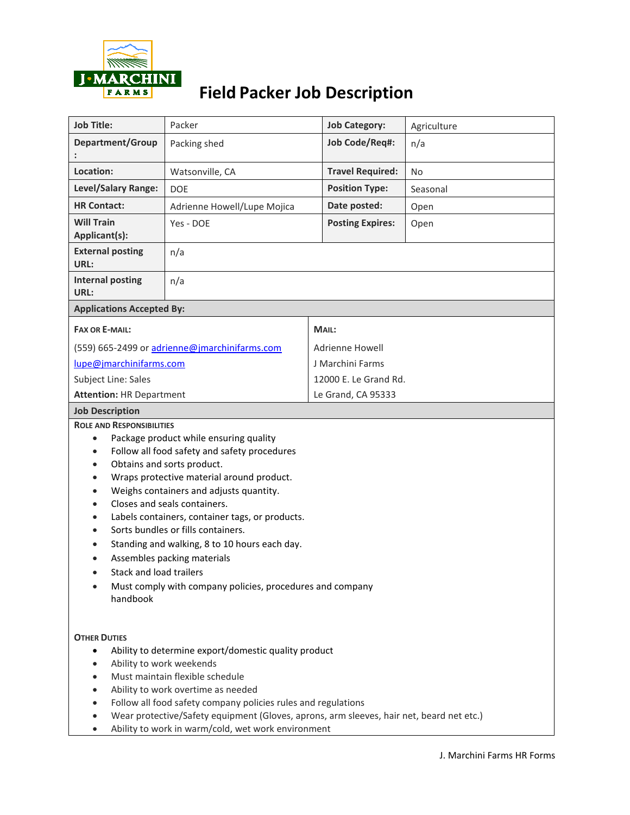

# **Field Packer Job Description**

| <b>Job Title:</b>                                                                                                                                                                                                                                                                                                                                                                                                                                                                                                                                                                                                             | Packer                                        | <b>Job Category:</b>    | Agriculture |  |  |
|-------------------------------------------------------------------------------------------------------------------------------------------------------------------------------------------------------------------------------------------------------------------------------------------------------------------------------------------------------------------------------------------------------------------------------------------------------------------------------------------------------------------------------------------------------------------------------------------------------------------------------|-----------------------------------------------|-------------------------|-------------|--|--|
| Department/Group                                                                                                                                                                                                                                                                                                                                                                                                                                                                                                                                                                                                              | Packing shed                                  | Job Code/Req#:          | n/a         |  |  |
| Location:                                                                                                                                                                                                                                                                                                                                                                                                                                                                                                                                                                                                                     | Watsonville, CA                               | <b>Travel Required:</b> | <b>No</b>   |  |  |
| Level/Salary Range:                                                                                                                                                                                                                                                                                                                                                                                                                                                                                                                                                                                                           | <b>DOE</b>                                    | <b>Position Type:</b>   | Seasonal    |  |  |
| <b>HR Contact:</b>                                                                                                                                                                                                                                                                                                                                                                                                                                                                                                                                                                                                            | Adrienne Howell/Lupe Mojica                   | Date posted:            | Open        |  |  |
| <b>Will Train</b><br>Applicant(s):                                                                                                                                                                                                                                                                                                                                                                                                                                                                                                                                                                                            | Yes - DOE                                     | <b>Posting Expires:</b> | Open        |  |  |
| <b>External posting</b><br>URL:                                                                                                                                                                                                                                                                                                                                                                                                                                                                                                                                                                                               | n/a                                           |                         |             |  |  |
| <b>Internal posting</b><br>URL:                                                                                                                                                                                                                                                                                                                                                                                                                                                                                                                                                                                               | n/a                                           |                         |             |  |  |
| <b>Applications Accepted By:</b>                                                                                                                                                                                                                                                                                                                                                                                                                                                                                                                                                                                              |                                               |                         |             |  |  |
| <b>FAX OR E-MAIL:</b>                                                                                                                                                                                                                                                                                                                                                                                                                                                                                                                                                                                                         |                                               |                         | MAIL:       |  |  |
|                                                                                                                                                                                                                                                                                                                                                                                                                                                                                                                                                                                                                               | (559) 665-2499 or adrienne@jmarchinifarms.com | <b>Adrienne Howell</b>  |             |  |  |
| lupe@jmarchinifarms.com                                                                                                                                                                                                                                                                                                                                                                                                                                                                                                                                                                                                       |                                               | J Marchini Farms        |             |  |  |
| Subject Line: Sales                                                                                                                                                                                                                                                                                                                                                                                                                                                                                                                                                                                                           |                                               | 12000 E. Le Grand Rd.   |             |  |  |
| <b>Attention: HR Department</b>                                                                                                                                                                                                                                                                                                                                                                                                                                                                                                                                                                                               |                                               | Le Grand, CA 95333      |             |  |  |
| <b>Job Description</b>                                                                                                                                                                                                                                                                                                                                                                                                                                                                                                                                                                                                        |                                               |                         |             |  |  |
| <b>ROLE AND RESPONSIBILITIES</b><br>Package product while ensuring quality<br>$\bullet$<br>Follow all food safety and safety procedures<br>$\bullet$<br>Obtains and sorts product.<br>$\bullet$<br>Wraps protective material around product.<br>٠<br>Weighs containers and adjusts quantity.<br>$\bullet$<br>Closes and seals containers.<br>Labels containers, container tags, or products.<br>Sorts bundles or fills containers.<br>Standing and walking, 8 to 10 hours each day.<br>Assembles packing materials<br><b>Stack and load trailers</b><br>Must comply with company policies, procedures and company<br>handbook |                                               |                         |             |  |  |
| <b>OTHER DUTIES</b><br>Ability to determine export/domestic quality product<br>$\bullet$<br>Ability to work weekends<br>$\bullet$<br>Must maintain flexible schedule<br>$\bullet$<br>Ability to work overtime as needed<br>Follow all food safety company policies rules and regulations<br>Wear protective/Safety equipment (Gloves, aprons, arm sleeves, hair net, beard net etc.)<br>Ability to work in warm/cold, wet work environment                                                                                                                                                                                    |                                               |                         |             |  |  |